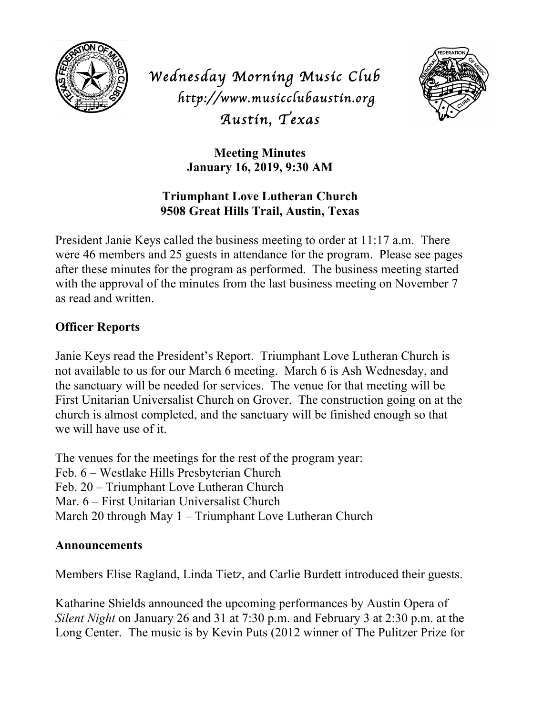

*Wednesday Morning Music Club http://www.musicclubaustin.org Austin, Texas* 



**Meeting Minutes January 16, 2019, 9:30 AM**

## **Triumphant Love Lutheran Church 9508 Great Hills Trail, Austin, Texas**

President Janie Keys called the business meeting to order at 11:17 a.m. There were 46 members and 25 guests in attendance for the program. Please see pages after these minutes for the program as performed. The business meeting started with the approval of the minutes from the last business meeting on November 7 as read and written.

## **Officer Reports**

Janie Keys read the President's Report. Triumphant Love Lutheran Church is not available to us for our March 6 meeting. March 6 is Ash Wednesday, and the sanctuary will be needed for services. The venue for that meeting will be First Unitarian Universalist Church on Grover. The construction going on at the church is almost completed, and the sanctuary will be finished enough so that we will have use of it.

The venues for the meetings for the rest of the program year: Feb. 6 – Westlake Hills Presbyterian Church Feb. 20 – Triumphant Love Lutheran Church Mar. 6 – First Unitarian Universalist Church March 20 through May 1 – Triumphant Love Lutheran Church

## **Announcements**

Members Elise Ragland, Linda Tietz, and Carlie Burdett introduced their guests.

Katharine Shields announced the upcoming performances by Austin Opera of *Silent Night* on January 26 and 31 at 7:30 p.m. and February 3 at 2:30 p.m. at the Long Center. The music is by Kevin Puts (2012 winner of The Pulitzer Prize for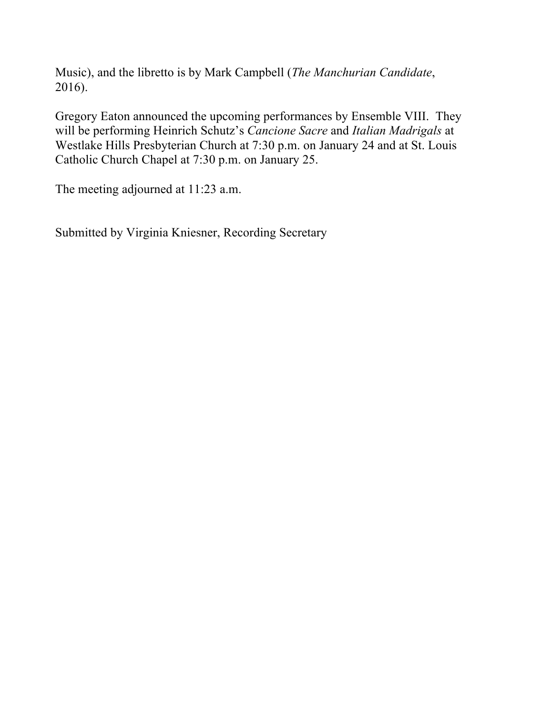Music), and the libretto is by Mark Campbell (*The Manchurian Candidate*, 2016).

Gregory Eaton announced the upcoming performances by Ensemble VIII. They will be performing Heinrich Schutz's *Cancione Sacre* and *Italian Madrigals* at Westlake Hills Presbyterian Church at 7:30 p.m. on January 24 and at St. Louis Catholic Church Chapel at 7:30 p.m. on January 25.

The meeting adjourned at 11:23 a.m.

Submitted by Virginia Kniesner, Recording Secretary